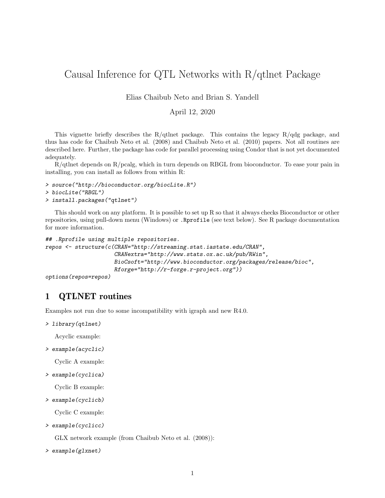# Causal Inference for QTL Networks with R/qtlnet Package

Elias Chaibub Neto and Brian S. Yandell

### April 12, 2020

This vignette briefly describes the R/qtlnet package. This contains the legacy R/qdg package, and thus has code for Chaibub Neto et al. (2008) and Chaibub Neto et al. (2010) papers. Not all routines are described here. Further, the package has code for parallel processing using Condor that is not yet documented adequately.

 $R/d$ thet depends on  $R/\text{pcalg}$ , which in turn depends on RBGL from bioconductor. To ease your pain in installing, you can install as follows from within R:

> source("http://bioconductor.org/biocLite.R") > biocLite("RBGL") > install.packages("qtlnet")

This should work on any platform. It is possible to set up R so that it always checks Bioconductor or other repositories, using pull-down menu (Windows) or .Rprofile (see text below). See R package documentation for more information.

```
## .Rprofile using multiple repositories.
repos <- structure(c(CRAN="http://streaming.stat.iastate.edu/CRAN",
                     CRANextra="http://www.stats.ox.ac.uk/pub/RWin",
                     BioCsoft="http://www.bioconductor.org/packages/release/bioc",
                     Rforge="http://r-forge.r-project.org"))
```

```
options(repos=repos)
```
# 1 QTLNET routines

Examples not run due to some incompatibility with igraph and new R4.0.

```
> library(qtlnet)
```
Acyclic example:

> example(acyclic)

Cyclic A example:

> example(cyclica)

Cyclic B example:

> example(cyclicb)

Cyclic C example:

```
> example(cyclicc)
```
GLX network example (from Chaibub Neto et al. (2008)):

```
> example(glxnet)
```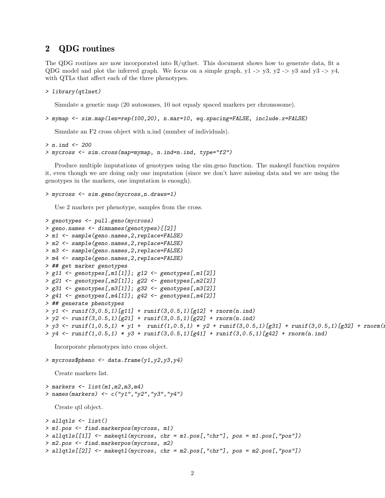## 2 QDG routines

The QDG routines are now incorporated into  $R/d$ tlnet. This document shows how to generate data, fit a QDG model and plot the inferred graph. We focus on a simple graph,  $y1 - y3$ ,  $y2 - y3$  and  $y3 - y4$ , with QTLs that affect each of the three phenotypes.

#### > library(qtlnet)

Simulate a genetic map (20 autosomes, 10 not equaly spaced markers per chromosome).

> mymap <- sim.map(len=rep(100,20), n.mar=10, eq.spacing=FALSE, include.x=FALSE)

Simulate an F2 cross object with n.ind (number of individuals).

```
> n. ind <- 200> mycross <- sim.cross(map=mymap, n.ind=n.ind, type="f2")
```
Produce multiple imputations of genotypes using the sim.geno function. The makeqtl function requires it, even though we are doing only one imputation (since we don't have missing data and we are using the genotypes in the markers, one imputation is enough).

```
> mycross <- sim.geno(mycross,n.draws=1)
```
Use 2 markers per phenotype, samples from the cross.

```
> genotypes <- pull.geno(mycross)
> geno.names <- dimnames(genotypes)[[2]]
> m1 <- sample(geno.names,2,replace=FALSE)
> m2 <- sample(geno.names,2,replace=FALSE)
> m3 <- sample(geno.names,2,replace=FALSE)
> m4 <- sample(geno.names,2,replace=FALSE)
> ## get marker genotypes
> g11 <- genotypes[,m1[1]]; g12 <- genotypes[,m1[2]]
> g21 <- genotypes[,m2[1]]; g22 <- genotypes[,m2[2]]
> g31 <- genotypes[,m3[1]]; g32 <- genotypes[,m3[2]]
> g41 <- genotypes[,m4[1]]; g42 <- genotypes[,m4[2]]
> ## generate phenotypes
> y1 <- runif(3,0.5,1)[g11] + runif(3,0.5,1)[g12] + rnorm(n.ind)
> y2 \le - \text{runif}(3,0.5,1) [g21] + \text{runif}(3,0.5,1) [g22] + \text{rnorm}(n.\text{ind})> y3 \leq \text{runif}(1,0.5,1) * y1 + \text{runif}(1,0.5,1) * y2 + \text{runif}(3,0.5,1)[g31] + \text{runif}(3,0.5,1)[g32] + \text{rnonm}(i.0.5,1)> y4 \le -\text{runif}(1,0.5,1) * y3 + \text{runif}(3,0.5,1)[g41] + \text{runif}(3,0.5,1)[g42] + \text{rnorm}(n.\text{ind})
```
Incorporate phenotypes into cross object.

```
> mycross$pheno <- data.frame(y1,y2,y3,y4)
   Create markers list.
> markers <- list(m1, m2, m3, m4)> names(markers) <- c("y1", "y2", "y3", "y4")Create qtl object.
> allqtls <- list()
> m1.pos <- find.markerpos(mycross, m1)
> allqtls[[1]] <- makeqtl(mycross, chr = m1.pos[,"chr"], pos = m1.pos[,"pos"])
> m2.pos <- find.markerpos(mycross, m2)
> allqtls[[2]] <- makeqtl(mycross, chr = m2.pos[,"chr"], pos = m2.pos[,"pos"])
```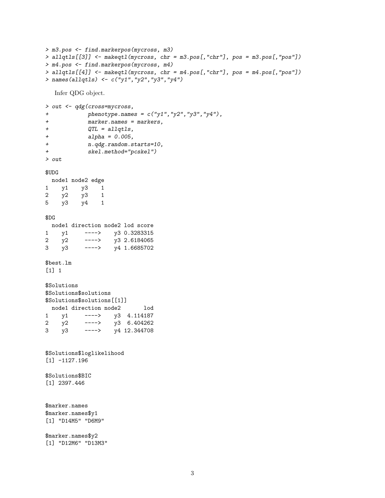```
> m3.pos <- find.markerpos(mycross, m3)
> allqtls[[3]] <- makeqtl(mycross, chr = m3.pos[,"chr"], pos = m3.pos[,"pos"])
> m4.pos <- find.markerpos(mycross, m4)
> allqtls[[4]] <- makeqtl(mycross, chr = m4.pos[,"chr"], pos = m4.pos[,"pos"])
> names(allqtls) <- c("y1","y2","y3","y4")
```
Infer QDG object.

```
> out <- qdg(cross=mycross,
+ phenotype.names = c("y1", "y2", "y3", "y4"),+ marker.names = markers,
+ QTL = allqtls,
+ alpha = 0.005,
+ n.qdg.random.starts=10,
+ skel.method="pcskel")
> out
```
\$UDG

```
node1 node2 edge
1 y1 y3 1
2 y2 y3 1
5 y3 y4 1
$DG
node1 direction node2 lod score
1 y1 ----> y3 0.3283315
2 y2 ----> y3 2.6184065
```

```
3 y3 ----> y4 1.6685702
$best.lm
```
[1] 1

```
$Solutions
$Solutions$solutions
$Solutions$solutions[[1]]
 node1 direction node2 lod
1 y1 ----> y3 4.114187
2 y2 ----> y3 6.404262
3 y3 ----> y4 12.344708
```
\$Solutions\$loglikelihood [1] -1127.196

\$Solutions\$BIC [1] 2397.446

```
$marker.names
$marker.names$y1
[1] "D14M5" "D6M9"
```
\$marker.names\$y2 [1] "D12M6" "D13M3"